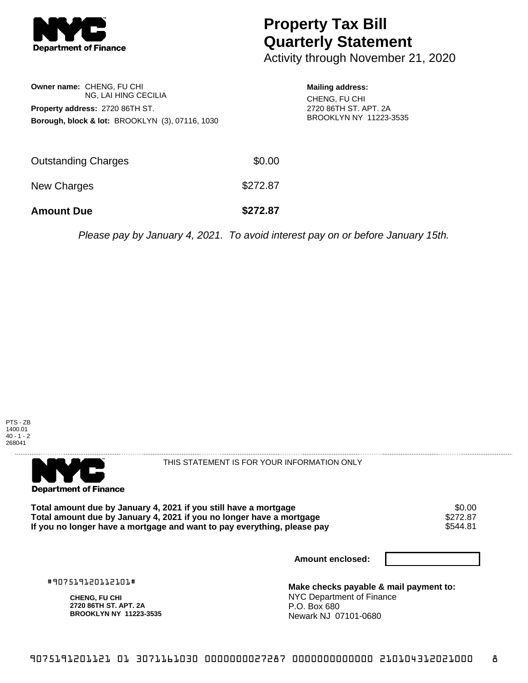

## **Property Tax Bill Quarterly Statement**

Activity through November 21, 2020

| Owner name: CHENG, FU CHI              |                                                            |  |
|----------------------------------------|------------------------------------------------------------|--|
|                                        | NG. LAI HING CECILIA                                       |  |
| <b>Property address: 2720 86TH ST.</b> |                                                            |  |
|                                        | <b>Borough, block &amp; lot: BROOKLYN (3), 07116, 1030</b> |  |

**Mailing address:** CHENG, FU CHI 2720 86TH ST. APT. 2A BROOKLYN NY 11223-3535

| <b>Amount Due</b>   | \$272.87 |
|---------------------|----------|
| New Charges         | \$272.87 |
| Outstanding Charges | \$0.00   |

Please pay by January 4, 2021. To avoid interest pay on or before January 15th.





THIS STATEMENT IS FOR YOUR INFORMATION ONLY

Total amount due by January 4, 2021 if you still have a mortgage \$0.00<br>Total amount due by January 4, 2021 if you no longer have a mortgage \$272.87 **Total amount due by January 4, 2021 if you no longer have a mortgage \$272.87<br>If you no longer have a mortgage and want to pay everything, please pay \$544.81** If you no longer have a mortgage and want to pay everything, please pay

**Amount enclosed:**

#907519120112101#

**CHENG, FU CHI 2720 86TH ST. APT. 2A BROOKLYN NY 11223-3535**

**Make checks payable & mail payment to:** NYC Department of Finance P.O. Box 680 Newark NJ 07101-0680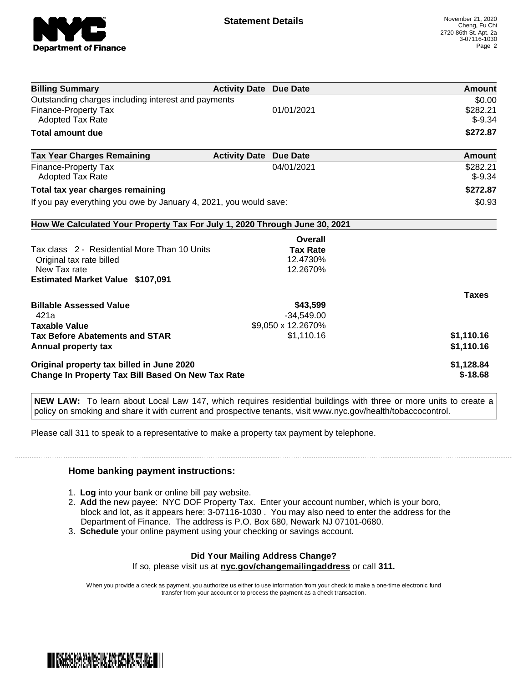

| <b>Billing Summary</b>                                                     | <b>Activity Date Due Date</b>           | Amount       |
|----------------------------------------------------------------------------|-----------------------------------------|--------------|
| Outstanding charges including interest and payments                        |                                         | \$0.00       |
| Finance-Property Tax                                                       | 01/01/2021                              | \$282.21     |
| Adopted Tax Rate                                                           |                                         | $$-9.34$     |
| <b>Total amount due</b>                                                    |                                         | \$272.87     |
| <b>Tax Year Charges Remaining</b>                                          | <b>Activity Date</b><br><b>Due Date</b> | Amount       |
| Finance-Property Tax                                                       | 04/01/2021                              | \$282.21     |
| <b>Adopted Tax Rate</b>                                                    |                                         | $$-9.34$     |
| Total tax year charges remaining                                           | \$272.87                                |              |
| If you pay everything you owe by January 4, 2021, you would save:          | \$0.93                                  |              |
| How We Calculated Your Property Tax For July 1, 2020 Through June 30, 2021 |                                         |              |
|                                                                            | Overall                                 |              |
| Tax class 2 - Residential More Than 10 Units                               | <b>Tax Rate</b>                         |              |
| Original tax rate billed                                                   | 12.4730%                                |              |
| New Tax rate                                                               | 12.2670%                                |              |
| <b>Estimated Market Value \$107,091</b>                                    |                                         |              |
|                                                                            |                                         | <b>Taxes</b> |
| <b>Billable Assessed Value</b>                                             | \$43,599                                |              |
| 421a                                                                       | $-34,549.00$                            |              |
| <b>Taxable Value</b>                                                       | \$9,050 x 12.2670%                      |              |
| <b>Tax Before Abatements and STAR</b>                                      | \$1,110.16                              | \$1,110.16   |
| Annual property tax                                                        |                                         | \$1,110.16   |
| Original property tax billed in June 2020                                  | \$1,128.84                              |              |
| <b>Change In Property Tax Bill Based On New Tax Rate</b>                   | $$-18.68$                               |              |

**NEW LAW:** To learn about Local Law 147, which requires residential buildings with three or more units to create a policy on smoking and share it with current and prospective tenants, visit www.nyc.gov/health/tobaccocontrol.

Please call 311 to speak to a representative to make a property tax payment by telephone.

## **Home banking payment instructions:**

- 1. **Log** into your bank or online bill pay website.
- 2. **Add** the new payee: NYC DOF Property Tax. Enter your account number, which is your boro, block and lot, as it appears here: 3-07116-1030 . You may also need to enter the address for the Department of Finance. The address is P.O. Box 680, Newark NJ 07101-0680.
- 3. **Schedule** your online payment using your checking or savings account.

## **Did Your Mailing Address Change?**

If so, please visit us at **nyc.gov/changemailingaddress** or call **311.**

When you provide a check as payment, you authorize us either to use information from your check to make a one-time electronic fund transfer from your account or to process the payment as a check transaction.